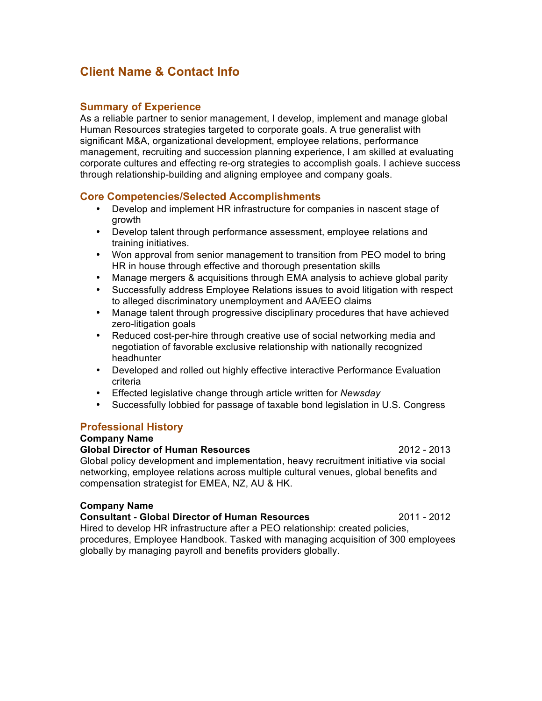# **Client Name & Contact Info**

## **Summary of Experience**

As a reliable partner to senior management, I develop, implement and manage global Human Resources strategies targeted to corporate goals. A true generalist with significant M&A, organizational development, employee relations, performance management, recruiting and succession planning experience, I am skilled at evaluating corporate cultures and effecting re-org strategies to accomplish goals. I achieve success through relationship-building and aligning employee and company goals.

# **Core Competencies/Selected Accomplishments**

- Develop and implement HR infrastructure for companies in nascent stage of growth
- Develop talent through performance assessment, employee relations and training initiatives.
- Won approval from senior management to transition from PEO model to bring HR in house through effective and thorough presentation skills
- Manage mergers & acquisitions through EMA analysis to achieve global parity
- Successfully address Employee Relations issues to avoid litigation with respect to alleged discriminatory unemployment and AA/EEO claims
- Manage talent through progressive disciplinary procedures that have achieved zero-litigation goals
- Reduced cost-per-hire through creative use of social networking media and negotiation of favorable exclusive relationship with nationally recognized headhunter
- Developed and rolled out highly effective interactive Performance Evaluation criteria
- Effected legislative change through article written for *Newsday*
- Successfully lobbied for passage of taxable bond legislation in U.S. Congress

## **Professional History**

## **Company Name**

**Global Director of Human Resources** 2012 - 2013 Global policy development and implementation, heavy recruitment initiative via social networking, employee relations across multiple cultural venues, global benefits and compensation strategist for EMEA, NZ, AU & HK.

#### **Company Name**

#### **Consultant - Global Director of Human Resources** 2011 - 2012

Hired to develop HR infrastructure after a PEO relationship: created policies, procedures, Employee Handbook. Tasked with managing acquisition of 300 employees globally by managing payroll and benefits providers globally.